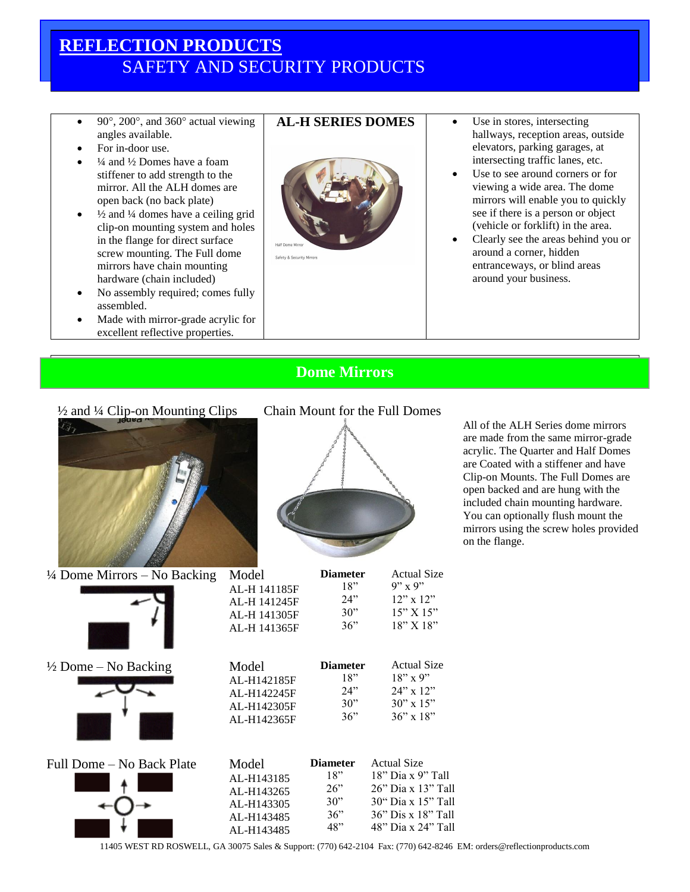## **REFLECTION PRODUCTS** SAFETY AND SECURITY PRODUCTS

- 90 $^{\circ}$ , 200 $^{\circ}$ , and 360 $^{\circ}$  actual viewing angles available.
- For in-door use.
- ¼ and ½ Domes have a foam stiffener to add strength to the mirror. All the ALH domes are open back (no back plate)
- $\frac{1}{2}$  and  $\frac{1}{4}$  domes have a ceiling grid clip-on mounting system and holes in the flange for direct surface screw mounting. The Full dome mirrors have chain mounting hardware (chain included)
- No assembly required; comes fully assembled.
- Made with mirror-grade acrylic for excellent reflective properties.



- **AL-H SERIES DOMES**  $\qquad \bullet$  Use in stores, intersecting hallways, reception areas, outside elevators, parking garages, at intersecting traffic lanes, etc.
	- Use to see around corners or for viewing a wide area. The dome mirrors will enable you to quickly see if there is a person or object (vehicle or forklift) in the area.
	- Clearly see the areas behind you or around a corner, hidden entranceways, or blind areas around your business.

## **Dome Mirrors**

¼ Dome Mirrors – No Backing



½ Dome – No Backing





**Diameter** 18" 24" 30" 36"

**Diameter** 18" 24" 30"

Actual Size 9" x 9" 12" x 12" 15" X 15" 18" X 18"

Actual Size  $18" \times 9"$ 24" x 12" 30" x 15"

All of the ALH Series dome mirrors are made from the same mirror-grade acrylic. The Quarter and Half Domes are Coated with a stiffener and have Clip-on Mounts. The Full Domes are open backed and are hung with the included chain mounting hardware. You can optionally flush mount the mirrors using the screw holes provided on the flange.

|                           | AL-H142365F | 36"             | $36'' \times 18''$   |
|---------------------------|-------------|-----------------|----------------------|
| Full Dome – No Back Plate | Model       | <b>Diameter</b> | <b>Actual Size</b>   |
|                           | AL-H143185  | 18"             | $18$ " Dia x 9" Tall |
|                           | AL-H143265  | $26$ "          | 26" Dia x 13" Tall   |
|                           | AL-H143305  | 30"             | 30" Dia x 15" Tall   |
|                           | AL-H143485  | 36"             | 36" Dis x 18" Tall   |
|                           | AL-H143485  | 48"             | 48" Dia x 24" Tall   |

Model AL-H 141185F AL-H 141245F AL-H 141305F AL-H 141365F

Model AL-H142185F AL-H142245F AL-H142305F

11405 WEST RD ROSWELL, GA 30075 Sales & Support: (770) 642-2104 Fax: (770) 642-8246 EM: orders@reflectionproducts.com